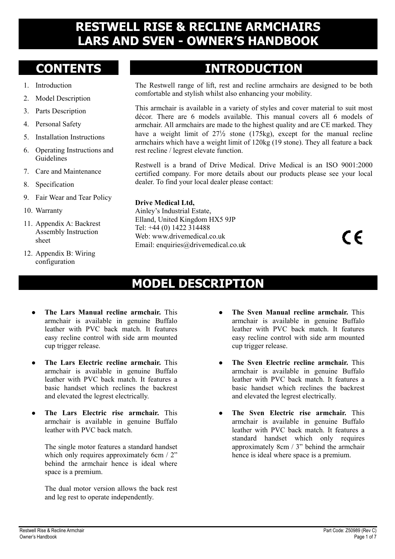#### **RESTWELL RISE & RECLINE ARMCHAIRS LARS AND SVEN - OWNER'S HANDBOOK**

- 1. Introduction
- 2. Model Description
- 3. Parts Description
- 4. Personal Safety
- 5. Installation Instructions
- 6. Operating Instructions and Guidelines
- 7. Care and Maintenance
- 8. Specification
- 9. Fair Wear and Tear Policy
- 10. Warranty
- 11. Appendix A: Backrest Assembly Instruction sheet
- 12. Appendix B: Wiring configuration

# **CONTENTS INTRODUCTION**

The Restwell range of lift, rest and recline armchairs are designed to be both comfortable and stylish whilst also enhancing your mobility.

This armchair is available in a variety of styles and cover material to suit most décor. There are 6 models available. This manual covers all 6 models of armchair. All armchairs are made to the highest quality and are CE marked. They have a weight limit of  $27\frac{1}{2}$  stone (175kg), except for the manual recline armchairs which have a weight limit of 120kg (19 stone). They all feature a back rest recline / legrest elevate function.

Restwell is a brand of Drive Medical. Drive Medical is an ISO 9001:2000 certified company. For more details about our products please see your local dealer. To find your local dealer please contact:

#### **Drive Medical Ltd,**

Ainley's Industrial Estate, Elland, United Kingdom HX5 9JP Tel: +44 (0) 1422 314488 Web: www.drivemedical.co.uk Email: enquiries@drivemedical.co.uk

 $\epsilon$ 

#### **MODEL DESCRIPTION**

- z **The Lars Manual recline armchair.** This armchair is available in genuine Buffalo leather with PVC back match. It features easy recline control with side arm mounted cup trigger release.
- **•** The Lars Electric recline armchair. This armchair is available in genuine Buffalo leather with PVC back match. It features a basic handset which reclines the backrest and elevated the legrest electrically.
- The Lars Electric rise armchair. This armchair is available in genuine Buffalo leather with PVC back match.

The single motor features a standard handset which only requires approximately 6cm / 2" behind the armchair hence is ideal where space is a premium.

The dual motor version allows the back rest and leg rest to operate independently.

- The Sven Manual recline armchair. This armchair is available in genuine Buffalo leather with PVC back match. It features easy recline control with side arm mounted cup trigger release.
- **•** The Sven Electric recline armchair. This armchair is available in genuine Buffalo leather with PVC back match. It features a basic handset which reclines the backrest and elevated the legrest electrically.
- **•** The Sven Electric rise armchair. This armchair is available in genuine Buffalo leather with PVC back match. It features a standard handset which only requires approximately 8cm / 3" behind the armchair hence is ideal where space is a premium.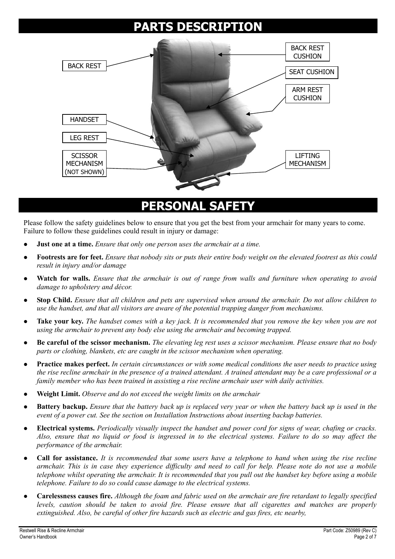#### **PARTS DESCRIPTION**



#### **PERSONAL SAFETY**

Please follow the safety guidelines below to ensure that you get the best from your armchair for many years to come. Failure to follow these guidelines could result in injury or damage:

- **Just one at a time.** *Ensure that only one person uses the armchair at a time.*
- z **Footrests are for feet.** *Ensure that nobody sits or puts their entire body weight on the elevated footrest as this could result in injury and/or damage*
- Watch for walls. *Ensure that the armchair is out of range from walls and furniture when operating to avoid damage to upholstery and décor.*
- z **Stop Child.** *Ensure that all children and pets are supervised when around the armchair. Do not allow children to use the handset, and that all visitors are aware of the potential trapping danger from mechanisms.*
- **Take your key.** The handset comes with a key jack. It is recommended that you remove the key when you are not *using the armchair to prevent any body else using the armchair and becoming trapped.*
- z **Be careful of the scissor mechanism.** *The elevating leg rest uses a scissor mechanism. Please ensure that no body parts or clothing, blankets, etc are caught in the scissor mechanism when operating.*
- Practice makes perfect. *In certain circumstances or with some medical conditions the user needs to practice using the rise recline armchair in the presence of a trained attendant. A trained attendant may be a care professional or a family member who has been trained in assisting a rise recline armchair user with daily activities.*
- z **Weight Limit.** *Observe and do not exceed the weight limits on the armchair*
- **Battery backup.** *Ensure that the battery back up is replaced very year or when the battery back up is used in the event of a power cut. See the section on Installation Instructions about inserting backup batteries.*
- z **Electrical systems.** *Periodically visually inspect the handset and power cord for signs of wear, chafing or cracks. Also, ensure that no liquid or food is ingressed in to the electrical systems. Failure to do so may affect the performance of the armchair.*
- z **Call for assistance.** *It is recommended that some users have a telephone to hand when using the rise recline armchair. This is in case they experience difficulty and need to call for help. Please note do not use a mobile telephone whilst operating the armchair. It is recommended that you pull out the handset key before using a mobile telephone. Failure to do so could cause damage to the electrical systems.*
- z **Carelessness causes fire.** *Although the foam and fabric used on the armchair are fire retardant to legally specified levels, caution should be taken to avoid fire. Please ensure that all cigarettes and matches are properly extinguished. Also, be careful of other fire hazards such as electric and gas fires, etc nearby,*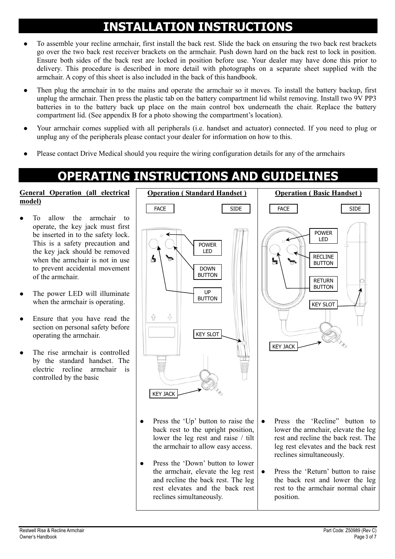# **INSTALLATION INSTRUCTIONS**

- To assemble your recline armchair, first install the back rest. Slide the back on ensuring the two back rest brackets go over the two back rest receiver brackets on the armchair. Push down hard on the back rest to lock in position. Ensure both sides of the back rest are locked in position before use. Your dealer may have done this prior to delivery. This procedure is described in more detail with photographs on a separate sheet supplied with the armchair. A copy of this sheet is also included in the back of this handbook.
- Then plug the armchair in to the mains and operate the armchair so it moves. To install the battery backup, first unplug the armchair. Then press the plastic tab on the battery compartment lid whilst removing. Install two 9V PP3 batteries in to the battery back up place on the main control box underneath the chair. Replace the battery compartment lid. (See appendix B for a photo showing the compartment's location).
- Your armchair comes supplied with all peripherals (i.e. handset and actuator) connected. If you need to plug or unplug any of the peripherals please contact your dealer for information on how to this.
- Please contact Drive Medical should you require the wiring configuration details for any of the armchairs

reclines simultaneously.

## **OPERATING INSTRUCTIONS AND GUIDELINES**

#### **General Operation (all electrical model)**

- To allow the armchair to operate, the key jack must first be inserted in to the safety lock. This is a safety precaution and the key jack should be removed when the armchair is not in use to prevent accidental movement of the armchair.
- The power LED will illuminate when the armchair is operating.
- Ensure that you have read the section on personal safety before operating the armchair.
- The rise armchair is controlled by the standard handset. The electric recline armchair is controlled by the basic

**Operation ( Standard Handset ) Operation ( Basic Handset )** FACE | SIDE | FACE | SIDE POWER LED POWER LED RECLINE BUTTON DOWN BUTTON RETURN BUTTON UP BUTTON KEY SLOT Į, 41 KFY SLOT KEY JACK KEY JACK • Press the 'Recline" button to  $\bullet$  Press the 'Up' button to raise the back rest to the upright position, lower the armchair, elevate the leg lower the leg rest and raise / tilt rest and recline the back rest. The the armchair to allow easy access. leg rest elevates and the back rest reclines simultaneously. Press the 'Down' button to lower the armchair, elevate the leg rest • Press the 'Return' button to raise and recline the back rest. The leg the back rest and lower the leg rest elevates and the back rest rest to the armchair normal chair

position.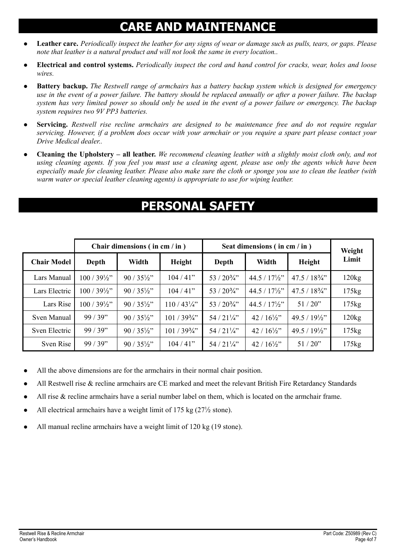#### **CARE AND MAINTENANCE**

- Leather care. Periodically inspect the leather for any signs of wear or damage such as pulls, tears, or gaps. Please *note that leather is a natural product and will not look the same in every location..*
- z **Electrical and control systems.** *Periodically inspect the cord and hand control for cracks, wear, holes and loose wires.*
- **Battery backup.** *The Restwell range of armchairs has a battery backup system which is designed for emergency use in the event of a power failure. The battery should be replaced annually or after a power failure. The backup system has very limited power so should only be used in the event of a power failure or emergency. The backup system requires two 9V PP3 batteries.*
- z **Servicing.** *Restwell rise recline armchairs are designed to be maintenance free and do not require regular servicing. However, if a problem does occur with your armchair or you require a spare part please contact your Drive Medical dealer..*
- z **Cleaning the Upholstery all leather.** *We recommend cleaning leather with a slightly moist cloth only, and not using cleaning agents. If you feel you must use a cleaning agent, please use only the agents which have been especially made for cleaning leather. Please also make sure the cloth or sponge you use to clean the leather (with warm water or special leather cleaning agents) is appropriate to use for wiping leather.*

#### **PERSONAL SAFETY**

|                    | Chair dimensions (in cm / in ) |                      |                       | Seat dimensions (in cm / in ) |                        |                        | Weight         |
|--------------------|--------------------------------|----------------------|-----------------------|-------------------------------|------------------------|------------------------|----------------|
| <b>Chair Model</b> | Depth                          | Width                | Height                | Depth                         | Width                  | Height                 | Limit          |
| Lars Manual        | $100/39\frac{1}{2}$ "          | $90/35\frac{1}{2}$   | 104/41"               | $53/20\frac{3}{4}$ "          | $44.5 / 17\frac{1}{2}$ | $47.5 / 18\frac{3}{4}$ | 120kg          |
| Lars Electric      | $100/39\frac{1}{2}$ "          | $90/35\frac{1}{2}$   | 104/41"               | $53/20\frac{3}{4}$ "          | $44.5 / 17\frac{1}{2}$ | $47.5 / 18\frac{3}{4}$ | 175kg          |
| Lars Rise          | $100/39\frac{1}{2}$ "          | $90/35\frac{1}{2}$ " | $110/43\frac{1}{4}$   | $53/20\frac{3}{4}$ "          | $44.5 / 17\frac{1}{2}$ | $51/20$ "              | $175\text{kg}$ |
| Sven Manual        | 99/39"                         | $90/35\frac{1}{2}$   | $101/39\frac{3}{4}$ " | $54/21\frac{1}{4}$            | $42/16\frac{1}{2}$     | $49.5 / 19\frac{1}{2}$ | 120kg          |
| Sven Electric      | 99/39"                         | $90/35\frac{1}{2}$   | $101/39\frac{3}{4}$ " | $54/21\frac{1}{4}$            | $42/16\frac{1}{2}$     | $49.5 / 19\frac{1}{2}$ | 175kg          |
| Sven Rise          | 99/39"                         | $90/35\frac{1}{2}$ " | 104/41"               | 54 / 21 1/4"                  | $42/16\frac{1}{2}$     | 51/20"                 | 175kg          |

- All the above dimensions are for the armchairs in their normal chair position.
- All Restwell rise & recline armchairs are CE marked and meet the relevant British Fire Retardancy Standards
- All rise  $\&$  recline armchairs have a serial number label on them, which is located on the armchair frame.
- All electrical armchairs have a weight limit of 175 kg  $(27\frac{1}{2}$  stone).
- All manual recline armchairs have a weight limit of 120 kg (19 stone).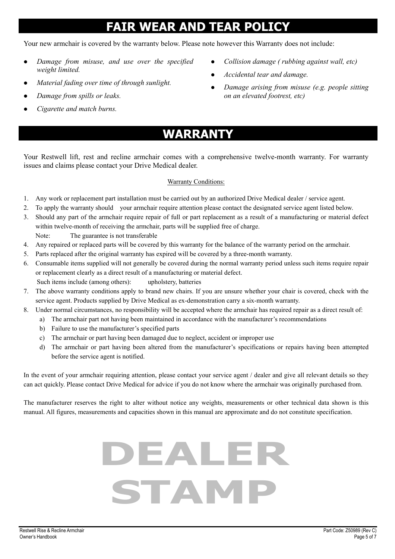#### **FAIR WEAR AND TEAR POLICY**

Your new armchair is covered by the warranty below. Please note however this Warranty does not include:

- z *Damage from misuse, and use over the specified weight limited.*
- *Material fading over time of through sunlight.*
- z *Damage from spills or leaks.*
- z *Cigarette and match burns.*
- z *Collision damage ( rubbing against wall, etc)*
- z *Accidental tear and damage.*
- *Damage arising from misuse (e.g. people sitting on an elevated footrest, etc)*
- **WARRANTY**

Your Restwell lift, rest and recline armchair comes with a comprehensive twelve-month warranty. For warranty issues and claims please contact your Drive Medical dealer.

#### Warranty Conditions:

- 1. Any work or replacement part installation must be carried out by an authorized Drive Medical dealer / service agent.
- 2. To apply the warranty should your armchair require attention please contact the designated service agent listed below.
- 3. Should any part of the armchair require repair of full or part replacement as a result of a manufacturing or material defect within twelve-month of receiving the armchair, parts will be supplied free of charge. Note: The guarantee is not transferable
- 4. Any repaired or replaced parts will be covered by this warranty for the balance of the warranty period on the armchair.
- 5. Parts replaced after the original warranty has expired will be covered by a three-month warranty.
- 6. Consumable items supplied will not generally be covered during the normal warranty period unless such items require repair or replacement clearly as a direct result of a manufacturing or material defect. Such items include (among others): upholstery, batteries
- 7. The above warranty conditions apply to brand new chairs. If you are unsure whether your chair is covered, check with the service agent. Products supplied by Drive Medical as ex-demonstration carry a six-month warranty.
- 8. Under normal circumstances, no responsibility will be accepted where the armchair has required repair as a direct result of:
	- a) The armchair part not having been maintained in accordance with the manufacturer's recommendations
	- b) Failure to use the manufacturer's specified parts
	- c) The armchair or part having been damaged due to neglect, accident or improper use
	- d) The armchair or part having been altered from the manufacturer's specifications or repairs having been attempted before the service agent is notified.

In the event of your armchair requiring attention, please contact your service agent / dealer and give all relevant details so they can act quickly. Please contact Drive Medical for advice if you do not know where the armchair was originally purchased from.

The manufacturer reserves the right to alter without notice any weights, measurements or other technical data shown is this manual. All figures, measurements and capacities shown in this manual are approximate and do not constitute specification.

# **DEALER STAMP**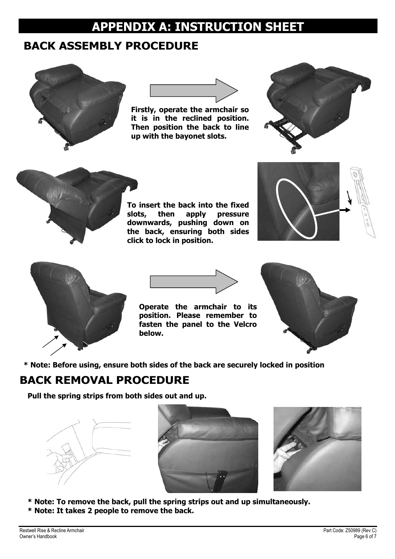#### **APPENDIX A: INSTRUCTION SHEET**

#### **BACK ASSEMBLY PROCEDURE**





**Firstly, operate the armchair so it is in the reclined position. Then position the back to line up with the bayonet slots.** 





**To insert the back into the fixed slots, then apply pressure downwards, pushing down on the back, ensuring both sides click to lock in position.** 







**Operate the armchair to its position. Please remember to fasten the panel to the Velcro below.** 



**\* Note: Before using, ensure both sides of the back are securely locked in position** 

#### **BACK REMOVAL PROCEDURE**

**Pull the spring strips from both sides out and up.** 







- **\* Note: To remove the back, pull the spring strips out and up simultaneously.**
- **\* Note: It takes 2 people to remove the back.**